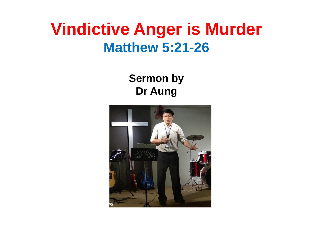#### **Vindictive Anger is Murder Matthew 5:21-26**

**Sermon by Dr Aung**

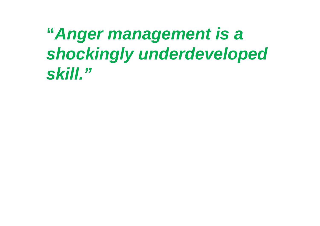**"***Anger management is a shockingly underdeveloped skill."*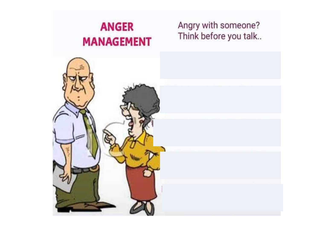#### **ANGER MANAGEMENT**

#### Angry with someone? Think before you talk..

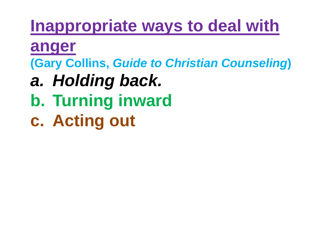### **Inappropriate ways to deal with**

**anger**

**(Gary Collins,** *Guide to Christian Counseling***)**

- *a. Holding back.*
- **b. Turning inward**
- **c. Acting out**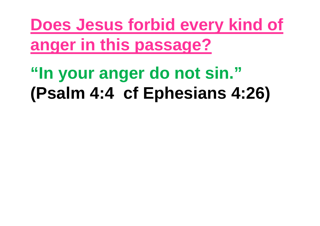**Does Jesus forbid every kind of anger in this passage?**

# **"In your anger do not sin." (Psalm 4:4 cf Ephesians 4:26)**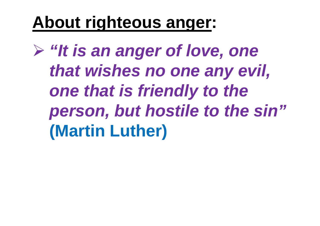## **About righteous anger:**

 *"It is an anger of love, one that wishes no one any evil, one that is friendly to the person, but hostile to the sin"* **(Martin Luther)**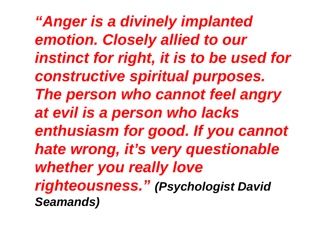*"Anger is a divinely implanted emotion. Closely allied to our instinct for right, it is to be used for constructive spiritual purposes. The person who cannot feel angry at evil is a person who lacks enthusiasm for good. If you cannot hate wrong, it's very questionable whether you really love righteousness." (Psychologist David Seamands)*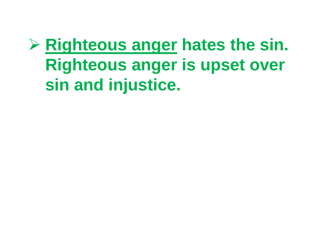## **Righteous anger hates the sin. Righteous anger is upset over sin and injustice.**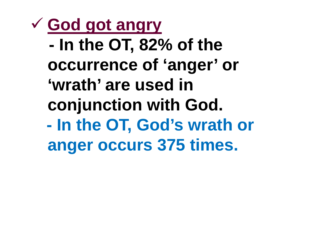**God got angry - In the OT, 82% of the occurrence of 'anger' or 'wrath' are used in conjunction with God. - In the OT, God's wrath or anger occurs 375 times.**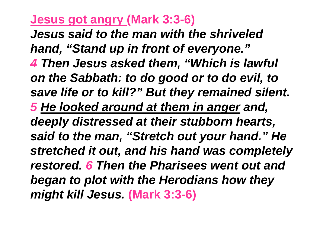#### **Jesus got angry (Mark 3:3-6)**

*Jesus said to the man with the shriveled hand, "Stand up in front of everyone." 4 Then Jesus asked them, "Which is lawful on the Sabbath: to do good or to do evil, to save life or to kill?" But they remained silent. 5 He looked around at them in anger and, deeply distressed at their stubborn hearts, said to the man, "Stretch out your hand." He stretched it out, and his hand was completely restored. 6 Then the Pharisees went out and began to plot with the Herodians how they might kill Jesus.* **(Mark 3:3-6)**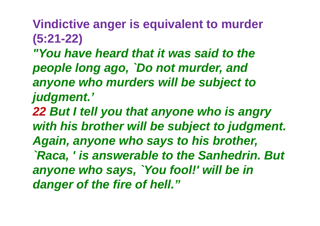**Vindictive anger is equivalent to murder (5:21-22)**

*"You have heard that it was said to the people long ago, `Do not murder, and anyone who murders will be subject to judgment.'*

*22 But I tell you that anyone who is angry with his brother will be subject to judgment. Again, anyone who says to his brother, `Raca, ' is answerable to the Sanhedrin. But anyone who says, `You fool!' will be in danger of the fire of hell."*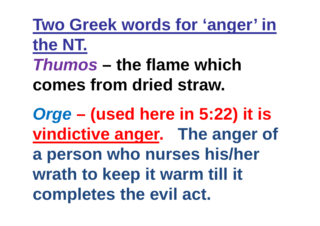**Two Greek words for 'anger' in the NT.** *Thumos* **– the flame which comes from dried straw.**

*Orge* **– (used here in 5:22) it is vindictive anger. The anger of a person who nurses his/her wrath to keep it warm till it completes the evil act.**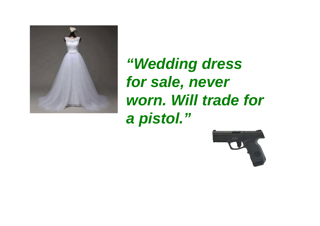

*"Wedding dress for sale, never worn. Will trade for a pistol."*

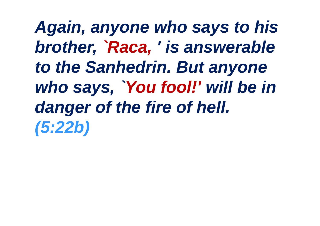*Again, anyone who says to his brother, `Raca, ' is answerable to the Sanhedrin. But anyone who says, `You fool!' will be in danger of the fire of hell. (5:22b)*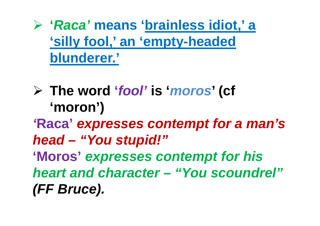**'***Raca'* **means 'brainless idiot,' a 'silly fool,' an 'empty-headed blunderer.'**

 **The word '***fool'* **is '***moros***' (cf 'moron')** *'***Raca'** *expresses contempt for a man's head – "You stupid!"* **'Moros'** *expresses contempt for his heart and character – "You scoundrel" (FF Bruce).*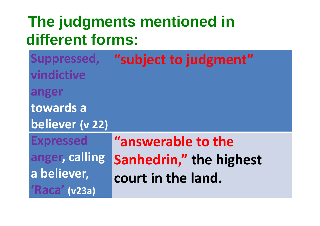#### **The judgments mentioned in different forms:**

| Suppressed,<br>vindictive | "subject to judgment"   |
|---------------------------|-------------------------|
| anger                     |                         |
| towards a                 |                         |
| believer (v 22)           |                         |
| <b>Expressed</b>          | "answerable to the      |
| anger, calling            | Sanhedrin," the highest |
| a believer,               | court in the land.      |
| 'Raca' (v23a)             |                         |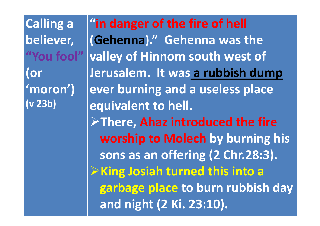**Calling a believer, "You fool" (or 'moron') (v 23b)**

**"in danger of the fire of hell (Gehenna)." Gehenna was the valley of Hinnom south west of Jerusalem. It was a rubbish dump ever burning and a useless place equivalent to hell. There, Ahaz introduced the fire worship to Molech by burning his sons as an offering (2 Chr.28:3). King Josiah turned this into a garbage place to burn rubbish day and night (2 Ki. 23:10).**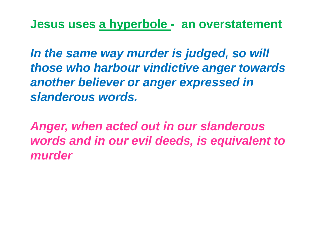**Jesus uses a hyperbole - an overstatement**

*In the same way murder is judged, so will those who harbour vindictive anger towards another believer or anger expressed in slanderous words.*

*Anger, when acted out in our slanderous words and in our evil deeds, is equivalent to murder*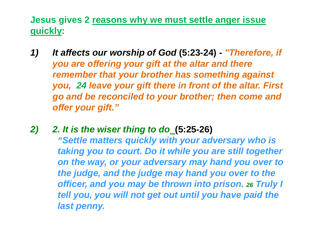**Jesus gives 2 reasons why we must settle anger issue quickly:**

- *1) It affects our worship of God* **(5:23-24) -** *"Therefore, if you are offering your gift at the altar and there remember that your brother has something against you, 24 leave your gift there in front of the altar. First go and be reconciled to your brother; then come and offer your gift."*
- *2) 2. It is the wiser thing to do* **(5:25-26)**

*"Settle matters quickly with your adversary who is taking you to court. Do it while you are still together on the way, or your adversary may hand you over to the judge, and the judge may hand you over to the officer, and you may be thrown into prison. <sup>26</sup> Truly I tell you, you will not get out until you have paid the last penny.*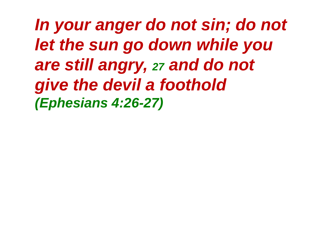*In your anger do not sin; do not let the sun go down while you are still angry, <sup>27</sup> and do not give the devil a foothold (Ephesians 4:26-27)*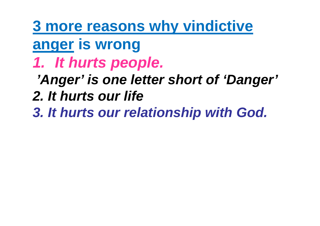**3 more reasons why vindictive**

**anger is wrong**

*1. It hurts people.*

# *'Anger' is one letter short of 'Danger'*

- *2. It hurts our life*
- *3. It hurts our relationship with God.*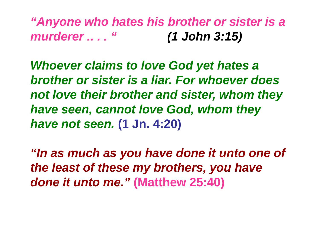*"Anyone who hates his brother or sister is a murderer .. . . " (1 John 3:15)*

*Whoever claims to love God yet hates a brother or sister is a liar. For whoever does not love their brother and sister, whom they have seen, cannot love God, whom they have not seen.* **(1 Jn. 4:20)**

*"In as much as you have done it unto one of the least of these my brothers, you have done it unto me."* **(Matthew 25:40)**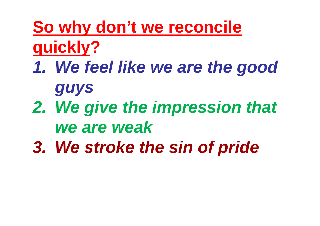**So why don't we reconcile quickly?**

- *1. We feel like we are the good guys*
- *2. We give the impression that we are weak*
- *3. We stroke the sin of pride*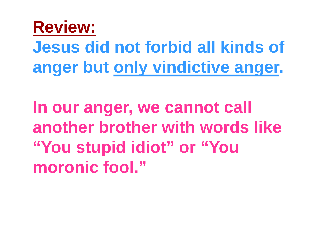

**Jesus did not forbid all kinds of anger but only vindictive anger.**

**In our anger, we cannot call another brother with words like "You stupid idiot" or "You moronic fool."**